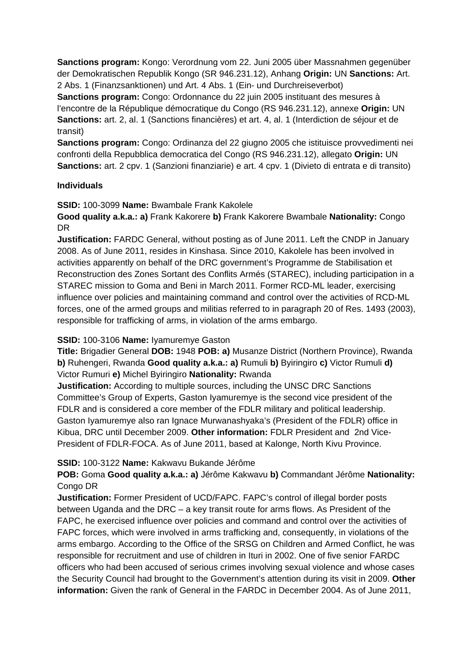**Sanctions program:** Kongo: Verordnung vom 22. Juni 2005 über Massnahmen gegenüber der Demokratischen Republik Kongo (SR 946.231.12), Anhang **Origin:** UN **Sanctions:** Art. 2 Abs. 1 (Finanzsanktionen) und Art. 4 Abs. 1 (Ein- und Durchreiseverbot)

**Sanctions program:** Congo: Ordonnance du 22 juin 2005 instituant des mesures à l'encontre de la République démocratique du Congo (RS 946.231.12), annexe **Origin:** UN **Sanctions:** art. 2, al. 1 (Sanctions financières) et art. 4, al. 1 (Interdiction de séjour et de transit)

**Sanctions program:** Congo: Ordinanza del 22 giugno 2005 che istituisce provvedimenti nei confronti della Repubblica democratica del Congo (RS 946.231.12), allegato **Origin:** UN **Sanctions:** art. 2 cpv. 1 (Sanzioni finanziarie) e art. 4 cpv. 1 (Divieto di entrata e di transito)

### **Individuals**

**SSID:** 100-3099 **Name:** Bwambale Frank Kakolele

**Good quality a.k.a.: a)** Frank Kakorere **b)** Frank Kakorere Bwambale **Nationality:** Congo DR

**Justification:** FARDC General, without posting as of June 2011. Left the CNDP in January 2008. As of June 2011, resides in Kinshasa. Since 2010, Kakolele has been involved in activities apparently on behalf of the DRC government's Programme de Stabilisation et Reconstruction des Zones Sortant des Conflits Armés (STAREC), including participation in a STAREC mission to Goma and Beni in March 2011. Former RCD-ML leader, exercising influence over policies and maintaining command and control over the activities of RCD-ML forces, one of the armed groups and militias referred to in paragraph 20 of Res. 1493 (2003), responsible for trafficking of arms, in violation of the arms embargo.

# **SSID:** 100-3106 **Name:** Iyamuremye Gaston

**Title:** Brigadier General **DOB:** 1948 **POB: a)** Musanze District (Northern Province), Rwanda **b)** Ruhengeri, Rwanda **Good quality a.k.a.: a)** Rumuli **b)** Byiringiro **c)** Victor Rumuli **d)**  Victor Rumuri **e)** Michel Byiringiro **Nationality:** Rwanda

**Justification:** According to multiple sources, including the UNSC DRC Sanctions Committee's Group of Experts, Gaston Iyamuremye is the second vice president of the FDLR and is considered a core member of the FDLR military and political leadership. Gaston Iyamuremye also ran Ignace Murwanashyaka's (President of the FDLR) office in Kibua, DRC until December 2009. **Other information:** FDLR President and 2nd Vice-President of FDLR-FOCA. As of June 2011, based at Kalonge, North Kivu Province.

#### **SSID:** 100-3122 **Name:** Kakwavu Bukande Jérôme

**POB:** Goma **Good quality a.k.a.: a)** Jérôme Kakwavu **b)** Commandant Jérôme **Nationality:** Congo DR

**Justification:** Former President of UCD/FAPC. FAPC's control of illegal border posts between Uganda and the DRC – a key transit route for arms flows. As President of the FAPC, he exercised influence over policies and command and control over the activities of FAPC forces, which were involved in arms trafficking and, consequently, in violations of the arms embargo. According to the Office of the SRSG on Children and Armed Conflict, he was responsible for recruitment and use of children in Ituri in 2002. One of five senior FARDC officers who had been accused of serious crimes involving sexual violence and whose cases the Security Council had brought to the Government's attention during its visit in 2009. **Other information:** Given the rank of General in the FARDC in December 2004. As of June 2011,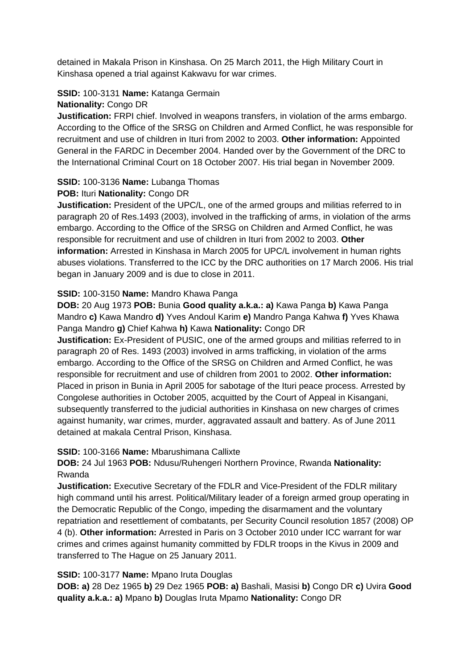detained in Makala Prison in Kinshasa. On 25 March 2011, the High Military Court in Kinshasa opened a trial against Kakwavu for war crimes.

# **SSID:** 100-3131 **Name:** Katanga Germain

### **Nationality:** Congo DR

**Justification:** FRPI chief. Involved in weapons transfers, in violation of the arms embargo. According to the Office of the SRSG on Children and Armed Conflict, he was responsible for recruitment and use of children in Ituri from 2002 to 2003. **Other information:** Appointed General in the FARDC in December 2004. Handed over by the Government of the DRC to the International Criminal Court on 18 October 2007. His trial began in November 2009.

# **SSID:** 100-3136 **Name:** Lubanga Thomas

# **POB:** Ituri **Nationality:** Congo DR

**Justification:** President of the UPC/L, one of the armed groups and militias referred to in paragraph 20 of Res.1493 (2003), involved in the trafficking of arms, in violation of the arms embargo. According to the Office of the SRSG on Children and Armed Conflict, he was responsible for recruitment and use of children in Ituri from 2002 to 2003. **Other information:** Arrested in Kinshasa in March 2005 for UPC/L involvement in human rights abuses violations. Transferred to the ICC by the DRC authorities on 17 March 2006. His trial began in January 2009 and is due to close in 2011.

# **SSID:** 100-3150 **Name:** Mandro Khawa Panga

**DOB:** 20 Aug 1973 **POB:** Bunia **Good quality a.k.a.: a)** Kawa Panga **b)** Kawa Panga Mandro **c)** Kawa Mandro **d)** Yves Andoul Karim **e)** Mandro Panga Kahwa **f)** Yves Khawa Panga Mandro **g)** Chief Kahwa **h)** Kawa **Nationality:** Congo DR

**Justification:** Ex-President of PUSIC, one of the armed groups and militias referred to in paragraph 20 of Res. 1493 (2003) involved in arms trafficking, in violation of the arms embargo. According to the Office of the SRSG on Children and Armed Conflict, he was responsible for recruitment and use of children from 2001 to 2002. **Other information:** Placed in prison in Bunia in April 2005 for sabotage of the Ituri peace process. Arrested by Congolese authorities in October 2005, acquitted by the Court of Appeal in Kisangani, subsequently transferred to the judicial authorities in Kinshasa on new charges of crimes against humanity, war crimes, murder, aggravated assault and battery. As of June 2011 detained at makala Central Prison, Kinshasa.

# **SSID:** 100-3166 **Name:** Mbarushimana Callixte

**DOB:** 24 Jul 1963 **POB:** Ndusu/Ruhengeri Northern Province, Rwanda **Nationality:** Rwanda

**Justification:** Executive Secretary of the FDLR and Vice-President of the FDLR military high command until his arrest. Political/Military leader of a foreign armed group operating in the Democratic Republic of the Congo, impeding the disarmament and the voluntary repatriation and resettlement of combatants, per Security Council resolution 1857 (2008) OP 4 (b). **Other information:** Arrested in Paris on 3 October 2010 under ICC warrant for war crimes and crimes against humanity committed by FDLR troops in the Kivus in 2009 and transferred to The Hague on 25 January 2011.

# **SSID:** 100-3177 **Name:** Mpano Iruta Douglas

**DOB: a)** 28 Dez 1965 **b)** 29 Dez 1965 **POB: a)** Bashali, Masisi **b)** Congo DR **c)** Uvira **Good quality a.k.a.: a)** Mpano **b)** Douglas Iruta Mpamo **Nationality:** Congo DR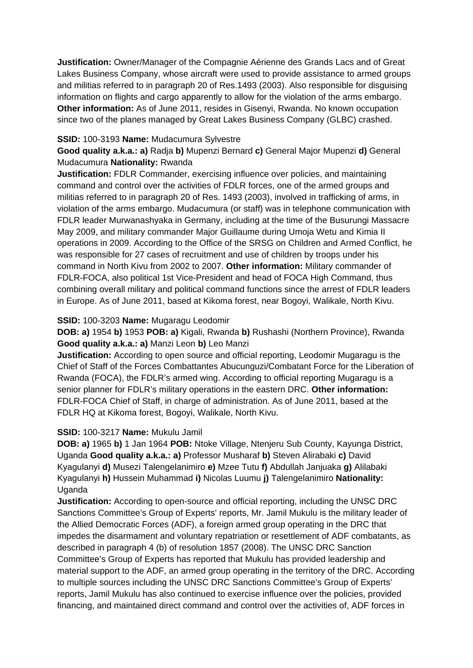**Justification:** Owner/Manager of the Compagnie Aérienne des Grands Lacs and of Great Lakes Business Company, whose aircraft were used to provide assistance to armed groups and militias referred to in paragraph 20 of Res.1493 (2003). Also responsible for disguising information on flights and cargo apparently to allow for the violation of the arms embargo. **Other information:** As of June 2011, resides in Gisenyi, Rwanda. No known occupation since two of the planes managed by Great Lakes Business Company (GLBC) crashed.

#### **SSID:** 100-3193 **Name:** Mudacumura Sylvestre

**Good quality a.k.a.: a)** Radja **b)** Mupenzi Bernard **c)** General Major Mupenzi **d)** General Mudacumura **Nationality:** Rwanda

**Justification:** FDLR Commander, exercising influence over policies, and maintaining command and control over the activities of FDLR forces, one of the armed groups and militias referred to in paragraph 20 of Res. 1493 (2003), involved in trafficking of arms, in violation of the arms embargo. Mudacumura (or staff) was in telephone communication with FDLR leader Murwanashyaka in Germany, including at the time of the Busurungi Massacre May 2009, and military commander Major Guillaume during Umoja Wetu and Kimia II operations in 2009. According to the Office of the SRSG on Children and Armed Conflict, he was responsible for 27 cases of recruitment and use of children by troops under his command in North Kivu from 2002 to 2007. **Other information:** Military commander of FDLR-FOCA, also political 1st Vice-President and head of FOCA High Command, thus combining overall military and political command functions since the arrest of FDLR leaders in Europe. As of June 2011, based at Kikoma forest, near Bogoyi, Walikale, North Kivu.

### **SSID:** 100-3203 **Name:** Mugaragu Leodomir

**DOB: a)** 1954 **b)** 1953 **POB: a)** Kigali, Rwanda **b)** Rushashi (Northern Province), Rwanda **Good quality a.k.a.: a)** Manzi Leon **b)** Leo Manzi

**Justification:** According to open source and official reporting, Leodomir Mugaragu is the Chief of Staff of the Forces Combattantes Abucunguzi/Combatant Force for the Liberation of Rwanda (FOCA), the FDLR's armed wing. According to official reporting Mugaragu is a senior planner for FDLR's military operations in the eastern DRC. **Other information:** FDLR-FOCA Chief of Staff, in charge of administration. As of June 2011, based at the FDLR HQ at Kikoma forest, Bogoyi, Walikale, North Kivu.

# **SSID:** 100-3217 **Name:** Mukulu Jamil

**DOB: a)** 1965 **b)** 1 Jan 1964 **POB:** Ntoke Village, Ntenjeru Sub County, Kayunga District, Uganda **Good quality a.k.a.: a)** Professor Musharaf **b)** Steven Alirabaki **c)** David Kyagulanyi **d)** Musezi Talengelanimiro **e)** Mzee Tutu **f)** Abdullah Janjuaka **g)** Alilabaki Kyagulanyi **h)** Hussein Muhammad **i)** Nicolas Luumu **j)** Talengelanimiro **Nationality:** Uganda

**Justification:** According to open-source and official reporting, including the UNSC DRC Sanctions Committee's Group of Experts' reports, Mr. Jamil Mukulu is the military leader of the Allied Democratic Forces (ADF), a foreign armed group operating in the DRC that impedes the disarmament and voluntary repatriation or resettlement of ADF combatants, as described in paragraph 4 (b) of resolution 1857 (2008). The UNSC DRC Sanction Committee's Group of Experts has reported that Mukulu has provided leadership and material support to the ADF, an armed group operating in the territory of the DRC. According to multiple sources including the UNSC DRC Sanctions Committee's Group of Experts' reports, Jamil Mukulu has also continued to exercise influence over the policies, provided financing, and maintained direct command and control over the activities of, ADF forces in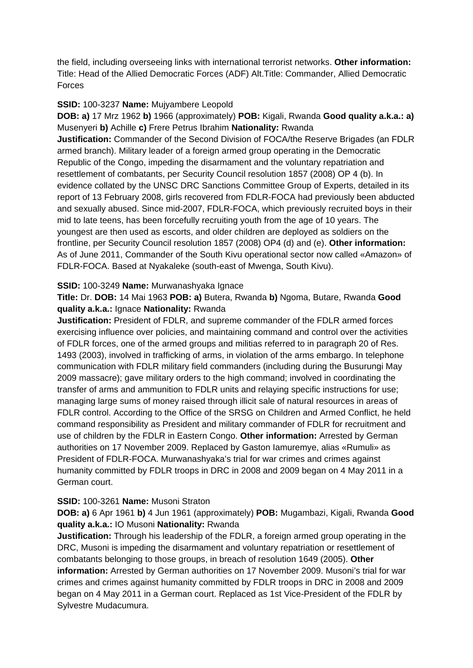the field, including overseeing links with international terrorist networks. **Other information:** Title: Head of the Allied Democratic Forces (ADF) Alt.Title: Commander, Allied Democratic Forces

### **SSID:** 100-3237 **Name:** Mujyambere Leopold

**DOB: a)** 17 Mrz 1962 **b)** 1966 (approximately) **POB:** Kigali, Rwanda **Good quality a.k.a.: a)**  Musenyeri **b)** Achille **c)** Frere Petrus Ibrahim **Nationality:** Rwanda **Justification:** Commander of the Second Division of FOCA/the Reserve Brigades (an FDLR armed branch). Military leader of a foreign armed group operating in the Democratic Republic of the Congo, impeding the disarmament and the voluntary repatriation and resettlement of combatants, per Security Council resolution 1857 (2008) OP 4 (b). In evidence collated by the UNSC DRC Sanctions Committee Group of Experts, detailed in its report of 13 February 2008, girls recovered from FDLR-FOCA had previously been abducted and sexually abused. Since mid-2007, FDLR-FOCA, which previously recruited boys in their mid to late teens, has been forcefully recruiting youth from the age of 10 years. The youngest are then used as escorts, and older children are deployed as soldiers on the frontline, per Security Council resolution 1857 (2008) OP4 (d) and (e). **Other information:** As of June 2011, Commander of the South Kivu operational sector now called «Amazon» of FDLR-FOCA. Based at Nyakaleke (south-east of Mwenga, South Kivu).

### **SSID:** 100-3249 **Name:** Murwanashyaka Ignace

**Title:** Dr. **DOB:** 14 Mai 1963 **POB: a)** Butera, Rwanda **b)** Ngoma, Butare, Rwanda **Good quality a.k.a.:** Ignace **Nationality:** Rwanda

**Justification:** President of FDLR, and supreme commander of the FDLR armed forces exercising influence over policies, and maintaining command and control over the activities of FDLR forces, one of the armed groups and militias referred to in paragraph 20 of Res. 1493 (2003), involved in trafficking of arms, in violation of the arms embargo. In telephone communication with FDLR military field commanders (including during the Busurungi May 2009 massacre); gave military orders to the high command; involved in coordinating the transfer of arms and ammunition to FDLR units and relaying specific instructions for use; managing large sums of money raised through illicit sale of natural resources in areas of FDLR control. According to the Office of the SRSG on Children and Armed Conflict, he held command responsibility as President and military commander of FDLR for recruitment and use of children by the FDLR in Eastern Congo. **Other information:** Arrested by German authorities on 17 November 2009. Replaced by Gaston Iamuremye, alias «Rumuli» as President of FDLR-FOCA. Murwanashyaka's trial for war crimes and crimes against humanity committed by FDLR troops in DRC in 2008 and 2009 began on 4 May 2011 in a German court.

# **SSID:** 100-3261 **Name:** Musoni Straton

**DOB: a)** 6 Apr 1961 **b)** 4 Jun 1961 (approximately) **POB:** Mugambazi, Kigali, Rwanda **Good quality a.k.a.:** IO Musoni **Nationality:** Rwanda

**Justification:** Through his leadership of the FDLR, a foreign armed group operating in the DRC, Musoni is impeding the disarmament and voluntary repatriation or resettlement of combatants belonging to those groups, in breach of resolution 1649 (2005). **Other information:** Arrested by German authorities on 17 November 2009. Musoni's trial for war crimes and crimes against humanity committed by FDLR troops in DRC in 2008 and 2009 began on 4 May 2011 in a German court. Replaced as 1st Vice-President of the FDLR by Sylvestre Mudacumura.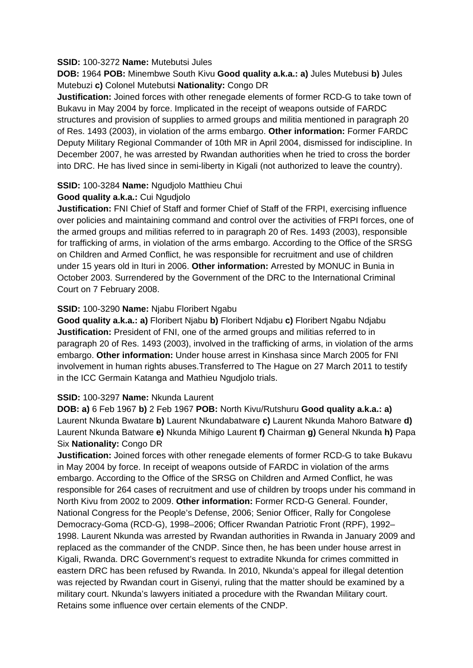#### **SSID:** 100-3272 **Name:** Mutebutsi Jules

**DOB:** 1964 **POB:** Minembwe South Kivu **Good quality a.k.a.: a)** Jules Mutebusi **b)** Jules Mutebuzi **c)** Colonel Mutebutsi **Nationality:** Congo DR

**Justification:** Joined forces with other renegade elements of former RCD-G to take town of Bukavu in May 2004 by force. Implicated in the receipt of weapons outside of FARDC structures and provision of supplies to armed groups and militia mentioned in paragraph 20 of Res. 1493 (2003), in violation of the arms embargo. **Other information:** Former FARDC Deputy Military Regional Commander of 10th MR in April 2004, dismissed for indiscipline. In December 2007, he was arrested by Rwandan authorities when he tried to cross the border into DRC. He has lived since in semi-liberty in Kigali (not authorized to leave the country).

#### **SSID:** 100-3284 **Name:** Ngudjolo Matthieu Chui

#### **Good quality a.k.a.:** Cui Ngudjolo

**Justification:** FNI Chief of Staff and former Chief of Staff of the FRPI, exercising influence over policies and maintaining command and control over the activities of FRPI forces, one of the armed groups and militias referred to in paragraph 20 of Res. 1493 (2003), responsible for trafficking of arms, in violation of the arms embargo. According to the Office of the SRSG on Children and Armed Conflict, he was responsible for recruitment and use of children under 15 years old in Ituri in 2006. **Other information:** Arrested by MONUC in Bunia in October 2003. Surrendered by the Government of the DRC to the International Criminal Court on 7 February 2008.

#### **SSID:** 100-3290 **Name:** Njabu Floribert Ngabu

**Good quality a.k.a.: a)** Floribert Njabu **b)** Floribert Ndjabu **c)** Floribert Ngabu Ndjabu **Justification:** President of FNI, one of the armed groups and militias referred to in paragraph 20 of Res. 1493 (2003), involved in the trafficking of arms, in violation of the arms embargo. **Other information:** Under house arrest in Kinshasa since March 2005 for FNI involvement in human rights abuses.Transferred to The Hague on 27 March 2011 to testify in the ICC Germain Katanga and Mathieu Ngudjolo trials.

#### **SSID:** 100-3297 **Name:** Nkunda Laurent

**DOB: a)** 6 Feb 1967 **b)** 2 Feb 1967 **POB:** North Kivu/Rutshuru **Good quality a.k.a.: a)**  Laurent Nkunda Bwatare **b)** Laurent Nkundabatware **c)** Laurent Nkunda Mahoro Batware **d)**  Laurent Nkunda Batware **e)** Nkunda Mihigo Laurent **f)** Chairman **g)** General Nkunda **h)** Papa Six **Nationality:** Congo DR

**Justification:** Joined forces with other renegade elements of former RCD-G to take Bukavu in May 2004 by force. In receipt of weapons outside of FARDC in violation of the arms embargo. According to the Office of the SRSG on Children and Armed Conflict, he was responsible for 264 cases of recruitment and use of children by troops under his command in North Kivu from 2002 to 2009. **Other information:** Former RCD-G General. Founder, National Congress for the People's Defense, 2006; Senior Officer, Rally for Congolese Democracy-Goma (RCD-G), 1998–2006; Officer Rwandan Patriotic Front (RPF), 1992– 1998. Laurent Nkunda was arrested by Rwandan authorities in Rwanda in January 2009 and replaced as the commander of the CNDP. Since then, he has been under house arrest in Kigali, Rwanda. DRC Government's request to extradite Nkunda for crimes committed in eastern DRC has been refused by Rwanda. In 2010, Nkunda's appeal for illegal detention was rejected by Rwandan court in Gisenyi, ruling that the matter should be examined by a military court. Nkunda's lawyers initiated a procedure with the Rwandan Military court. Retains some influence over certain elements of the CNDP.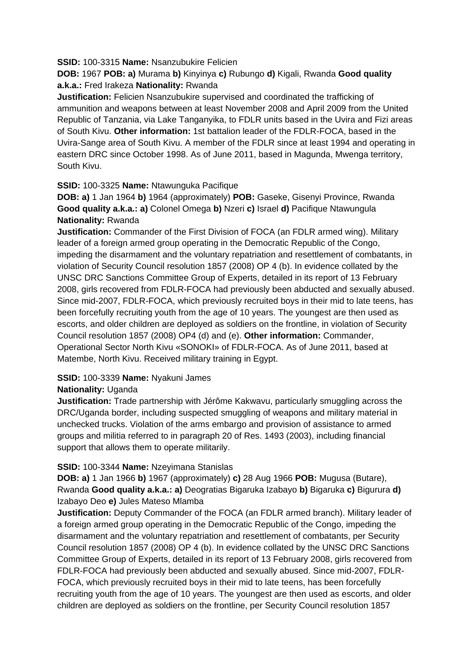#### **SSID:** 100-3315 **Name:** Nsanzubukire Felicien

# **DOB:** 1967 **POB: a)** Murama **b)** Kinyinya **c)** Rubungo **d)** Kigali, Rwanda **Good quality a.k.a.:** Fred Irakeza **Nationality:** Rwanda

**Justification:** Felicien Nsanzubukire supervised and coordinated the trafficking of ammunition and weapons between at least November 2008 and April 2009 from the United Republic of Tanzania, via Lake Tanganyika, to FDLR units based in the Uvira and Fizi areas of South Kivu. **Other information:** 1st battalion leader of the FDLR-FOCA, based in the Uvira-Sange area of South Kivu. A member of the FDLR since at least 1994 and operating in eastern DRC since October 1998. As of June 2011, based in Magunda, Mwenga territory, South Kivu.

### **SSID:** 100-3325 **Name:** Ntawunguka Pacifique

**DOB: a)** 1 Jan 1964 **b)** 1964 (approximately) **POB:** Gaseke, Gisenyi Province, Rwanda **Good quality a.k.a.: a)** Colonel Omega **b)** Nzeri **c)** Israel **d)** Pacifique Ntawungula **Nationality:** Rwanda

**Justification:** Commander of the First Division of FOCA (an FDLR armed wing). Military leader of a foreign armed group operating in the Democratic Republic of the Congo, impeding the disarmament and the voluntary repatriation and resettlement of combatants, in violation of Security Council resolution 1857 (2008) OP 4 (b). In evidence collated by the UNSC DRC Sanctions Committee Group of Experts, detailed in its report of 13 February 2008, girls recovered from FDLR-FOCA had previously been abducted and sexually abused. Since mid-2007, FDLR-FOCA, which previously recruited boys in their mid to late teens, has been forcefully recruiting youth from the age of 10 years. The youngest are then used as escorts, and older children are deployed as soldiers on the frontline, in violation of Security Council resolution 1857 (2008) OP4 (d) and (e). **Other information:** Commander, Operational Sector North Kivu «SONOKI» of FDLR-FOCA. As of June 2011, based at Matembe, North Kivu. Received military training in Egypt.

# **SSID:** 100-3339 **Name:** Nyakuni James

# **Nationality:** Uganda

**Justification:** Trade partnership with Jérôme Kakwavu, particularly smuggling across the DRC/Uganda border, including suspected smuggling of weapons and military material in unchecked trucks. Violation of the arms embargo and provision of assistance to armed groups and militia referred to in paragraph 20 of Res. 1493 (2003), including financial support that allows them to operate militarily.

#### **SSID:** 100-3344 **Name:** Nzeyimana Stanislas

**DOB: a)** 1 Jan 1966 **b)** 1967 (approximately) **c)** 28 Aug 1966 **POB:** Mugusa (Butare), Rwanda **Good quality a.k.a.: a)** Deogratias Bigaruka Izabayo **b)** Bigaruka **c)** Bigurura **d)**  Izabayo Deo **e)** Jules Mateso Mlamba

**Justification:** Deputy Commander of the FOCA (an FDLR armed branch). Military leader of a foreign armed group operating in the Democratic Republic of the Congo, impeding the disarmament and the voluntary repatriation and resettlement of combatants, per Security Council resolution 1857 (2008) OP 4 (b). In evidence collated by the UNSC DRC Sanctions Committee Group of Experts, detailed in its report of 13 February 2008, girls recovered from FDLR-FOCA had previously been abducted and sexually abused. Since mid-2007, FDLR-FOCA, which previously recruited boys in their mid to late teens, has been forcefully recruiting youth from the age of 10 years. The youngest are then used as escorts, and older children are deployed as soldiers on the frontline, per Security Council resolution 1857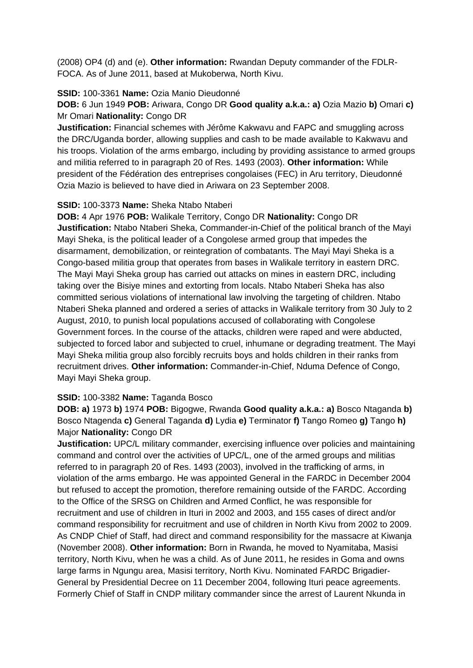(2008) OP4 (d) and (e). **Other information:** Rwandan Deputy commander of the FDLR-FOCA. As of June 2011, based at Mukoberwa, North Kivu.

#### **SSID:** 100-3361 **Name:** Ozia Manio Dieudonné

**DOB:** 6 Jun 1949 **POB:** Ariwara, Congo DR **Good quality a.k.a.: a)** Ozia Mazio **b)** Omari **c)**  Mr Omari **Nationality:** Congo DR

**Justification:** Financial schemes with Jérôme Kakwavu and FAPC and smuggling across the DRC/Uganda border, allowing supplies and cash to be made available to Kakwavu and his troops. Violation of the arms embargo, including by providing assistance to armed groups and militia referred to in paragraph 20 of Res. 1493 (2003). **Other information:** While president of the Fédération des entreprises congolaises (FEC) in Aru territory, Dieudonné Ozia Mazio is believed to have died in Ariwara on 23 September 2008.

#### **SSID:** 100-3373 **Name:** Sheka Ntabo Ntaberi

**DOB:** 4 Apr 1976 **POB:** Walikale Territory, Congo DR **Nationality:** Congo DR **Justification:** Ntabo Ntaberi Sheka, Commander-in-Chief of the political branch of the Mayi Mayi Sheka, is the political leader of a Congolese armed group that impedes the disarmament, demobilization, or reintegration of combatants. The Mayi Mayi Sheka is a Congo-based militia group that operates from bases in Walikale territory in eastern DRC. The Mayi Mayi Sheka group has carried out attacks on mines in eastern DRC, including taking over the Bisiye mines and extorting from locals. Ntabo Ntaberi Sheka has also committed serious violations of international law involving the targeting of children. Ntabo Ntaberi Sheka planned and ordered a series of attacks in Walikale territory from 30 July to 2 August, 2010, to punish local populations accused of collaborating with Congolese Government forces. In the course of the attacks, children were raped and were abducted, subjected to forced labor and subjected to cruel, inhumane or degrading treatment. The Mayi Mayi Sheka militia group also forcibly recruits boys and holds children in their ranks from recruitment drives. **Other information:** Commander-in-Chief, Nduma Defence of Congo, Mayi Mayi Sheka group.

#### **SSID:** 100-3382 **Name:** Taganda Bosco

**DOB: a)** 1973 **b)** 1974 **POB:** Bigogwe, Rwanda **Good quality a.k.a.: a)** Bosco Ntaganda **b)**  Bosco Ntagenda **c)** General Taganda **d)** Lydia **e)** Terminator **f)** Tango Romeo **g)** Tango **h)**  Major **Nationality:** Congo DR

**Justification:** UPC/L military commander, exercising influence over policies and maintaining command and control over the activities of UPC/L, one of the armed groups and militias referred to in paragraph 20 of Res. 1493 (2003), involved in the trafficking of arms, in violation of the arms embargo. He was appointed General in the FARDC in December 2004 but refused to accept the promotion, therefore remaining outside of the FARDC. According to the Office of the SRSG on Children and Armed Conflict, he was responsible for recruitment and use of children in Ituri in 2002 and 2003, and 155 cases of direct and/or command responsibility for recruitment and use of children in North Kivu from 2002 to 2009. As CNDP Chief of Staff, had direct and command responsibility for the massacre at Kiwanja (November 2008). **Other information:** Born in Rwanda, he moved to Nyamitaba, Masisi territory, North Kivu, when he was a child. As of June 2011, he resides in Goma and owns large farms in Ngungu area, Masisi territory, North Kivu. Nominated FARDC Brigadier-General by Presidential Decree on 11 December 2004, following Ituri peace agreements. Formerly Chief of Staff in CNDP military commander since the arrest of Laurent Nkunda in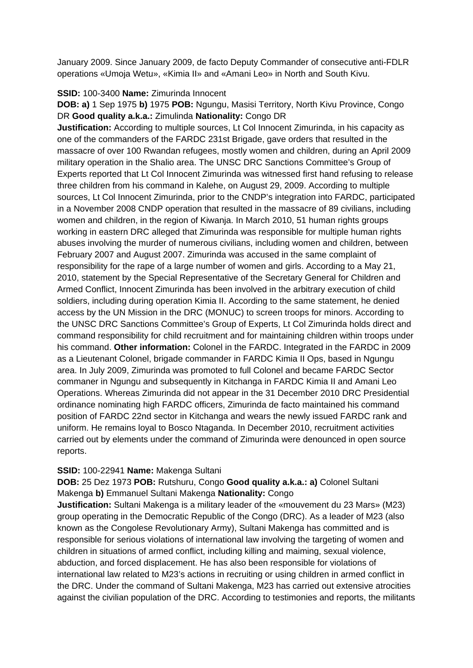January 2009. Since January 2009, de facto Deputy Commander of consecutive anti-FDLR operations «Umoja Wetu», «Kimia II» and «Amani Leo» in North and South Kivu.

#### **SSID:** 100-3400 **Name:** Zimurinda Innocent

**DOB: a)** 1 Sep 1975 **b)** 1975 **POB:** Ngungu, Masisi Territory, North Kivu Province, Congo DR **Good quality a.k.a.:** Zimulinda **Nationality:** Congo DR

**Justification:** According to multiple sources, Lt Col Innocent Zimurinda, in his capacity as one of the commanders of the FARDC 231st Brigade, gave orders that resulted in the massacre of over 100 Rwandan refugees, mostly women and children, during an April 2009 military operation in the Shalio area. The UNSC DRC Sanctions Committee's Group of Experts reported that Lt Col Innocent Zimurinda was witnessed first hand refusing to release three children from his command in Kalehe, on August 29, 2009. According to multiple sources, Lt Col Innocent Zimurinda, prior to the CNDP's integration into FARDC, participated in a November 2008 CNDP operation that resulted in the massacre of 89 civilians, including women and children, in the region of Kiwanja. In March 2010, 51 human rights groups working in eastern DRC alleged that Zimurinda was responsible for multiple human rights abuses involving the murder of numerous civilians, including women and children, between February 2007 and August 2007. Zimurinda was accused in the same complaint of responsibility for the rape of a large number of women and girls. According to a May 21, 2010, statement by the Special Representative of the Secretary General for Children and Armed Conflict, Innocent Zimurinda has been involved in the arbitrary execution of child soldiers, including during operation Kimia II. According to the same statement, he denied access by the UN Mission in the DRC (MONUC) to screen troops for minors. According to the UNSC DRC Sanctions Committee's Group of Experts, Lt Col Zimurinda holds direct and command responsibility for child recruitment and for maintaining children within troops under his command. **Other information:** Colonel in the FARDC. Integrated in the FARDC in 2009 as a Lieutenant Colonel, brigade commander in FARDC Kimia II Ops, based in Ngungu area. In July 2009, Zimurinda was promoted to full Colonel and became FARDC Sector commaner in Ngungu and subsequently in Kitchanga in FARDC Kimia II and Amani Leo Operations. Whereas Zimurinda did not appear in the 31 December 2010 DRC Presidential ordinance nominating high FARDC officers, Zimurinda de facto maintained his command position of FARDC 22nd sector in Kitchanga and wears the newly issued FARDC rank and uniform. He remains loyal to Bosco Ntaganda. In December 2010, recruitment activities carried out by elements under the command of Zimurinda were denounced in open source reports.

#### **SSID:** 100-22941 **Name:** Makenga Sultani

**DOB:** 25 Dez 1973 **POB:** Rutshuru, Congo **Good quality a.k.a.: a)** Colonel Sultani Makenga **b)** Emmanuel Sultani Makenga **Nationality:** Congo

**Justification:** Sultani Makenga is a military leader of the «mouvement du 23 Mars» (M23) group operating in the Democratic Republic of the Congo (DRC). As a leader of M23 (also known as the Congolese Revolutionary Army), Sultani Makenga has committed and is responsible for serious violations of international law involving the targeting of women and children in situations of armed conflict, including killing and maiming, sexual violence, abduction, and forced displacement. He has also been responsible for violations of international law related to M23's actions in recruiting or using children in armed conflict in the DRC. Under the command of Sultani Makenga, M23 has carried out extensive atrocities against the civilian population of the DRC. According to testimonies and reports, the militants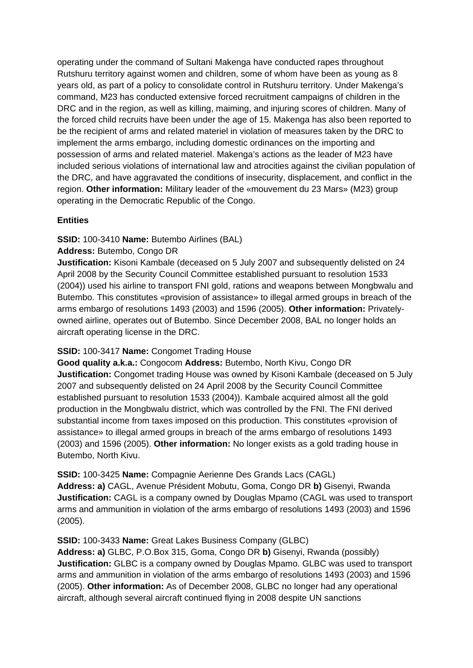operating under the command of Sultani Makenga have conducted rapes throughout Rutshuru territory against women and children, some of whom have been as young as 8 years old, as part of a policy to consolidate control in Rutshuru territory. Under Makenga's command, M23 has conducted extensive forced recruitment campaigns of children in the DRC and in the region, as well as killing, maiming, and injuring scores of children. Many of the forced child recruits have been under the age of 15. Makenga has also been reported to be the recipient of arms and related materiel in violation of measures taken by the DRC to implement the arms embargo, including domestic ordinances on the importing and possession of arms and related materiel. Makenga's actions as the leader of M23 have included serious violations of international law and atrocities against the civilian population of the DRC, and have aggravated the conditions of insecurity, displacement, and conflict in the region. **Other information:** Military leader of the «mouvement du 23 Mars» (M23) group operating in the Democratic Republic of the Congo.

#### **Entities**

#### **SSID:** 100-3410 **Name:** Butembo Airlines (BAL)

#### **Address:** Butembo, Congo DR

**Justification:** Kisoni Kambale (deceased on 5 July 2007 and subsequently delisted on 24 April 2008 by the Security Council Committee established pursuant to resolution 1533 (2004)) used his airline to transport FNI gold, rations and weapons between Mongbwalu and Butembo. This constitutes «provision of assistance» to illegal armed groups in breach of the arms embargo of resolutions 1493 (2003) and 1596 (2005). **Other information:** Privatelyowned airline, operates out of Butembo. Since December 2008, BAL no longer holds an aircraft operating license in the DRC.

#### **SSID:** 100-3417 **Name:** Congomet Trading House

**Good quality a.k.a.:** Congocom **Address:** Butembo, North Kivu, Congo DR **Justification:** Congomet trading House was owned by Kisoni Kambale (deceased on 5 July 2007 and subsequently delisted on 24 April 2008 by the Security Council Committee established pursuant to resolution 1533 (2004)). Kambale acquired almost all the gold production in the Mongbwalu district, which was controlled by the FNI. The FNI derived substantial income from taxes imposed on this production. This constitutes «provision of assistance» to illegal armed groups in breach of the arms embargo of resolutions 1493 (2003) and 1596 (2005). **Other information:** No longer exists as a gold trading house in Butembo, North Kivu.

#### **SSID:** 100-3425 **Name:** Compagnie Aerienne Des Grands Lacs (CAGL)

**Address: a)** CAGL, Avenue Président Mobutu, Goma, Congo DR **b)** Gisenyi, Rwanda **Justification:** CAGL is a company owned by Douglas Mpamo (CAGL was used to transport arms and ammunition in violation of the arms embargo of resolutions 1493 (2003) and 1596 (2005).

#### **SSID:** 100-3433 **Name:** Great Lakes Business Company (GLBC)

**Address: a)** GLBC, P.O.Box 315, Goma, Congo DR **b)** Gisenyi, Rwanda (possibly) **Justification:** GLBC is a company owned by Douglas Mpamo. GLBC was used to transport arms and ammunition in violation of the arms embargo of resolutions 1493 (2003) and 1596 (2005). **Other information:** As of December 2008, GLBC no longer had any operational aircraft, although several aircraft continued flying in 2008 despite UN sanctions